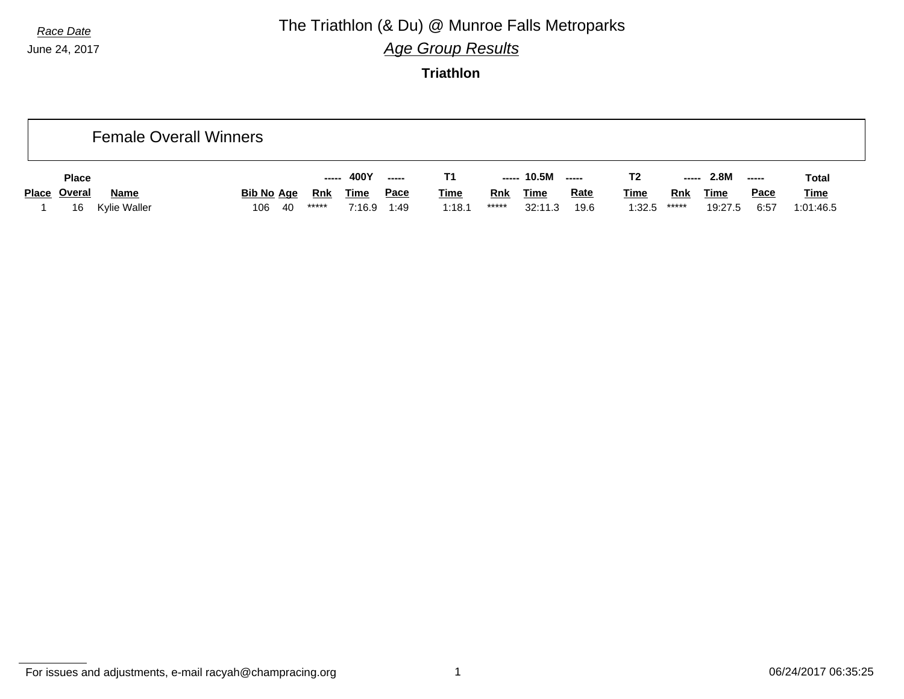# *Race Date* **The Triathlon (& Du) @ Munroe Falls Metroparks**

*Age Group Results*

**Triathlon**

|              |              | <b>Female Overall Winners</b> |     |        |             |             |             |            |             |             |             |       |             |               |             |
|--------------|--------------|-------------------------------|-----|--------|-------------|-------------|-------------|------------|-------------|-------------|-------------|-------|-------------|---------------|-------------|
| <b>Place</b> |              |                               |     | ------ | 400Y        | ------      |             |            | ----- 10.5M | ------      | T2          | ----- | 2.8M        | $\frac{1}{2}$ | Total       |
| Place Overal | <b>Name</b>  | <b>Bib No Age</b>             |     | Rnk    | <b>Time</b> | <u>Pace</u> | <b>Time</b> | <b>Rnk</b> | <b>Time</b> | <b>Rate</b> | <u>Time</u> | Rnk   | <u>Time</u> | <b>Pace</b>   | <u>Time</u> |
| 16           | Kylie Waller | 106                           | -40 | *****  | 7:16.9      | 1:49        | 1:18.1      | *****      | 32:11.3     | 19.6        | 1:32.5      | ***** | 19:27.5     | 6:57          | 1:01:46.5   |

For issues and adjustments, e-mail racyah@champracing.org 1 06/24/2017 06:35:25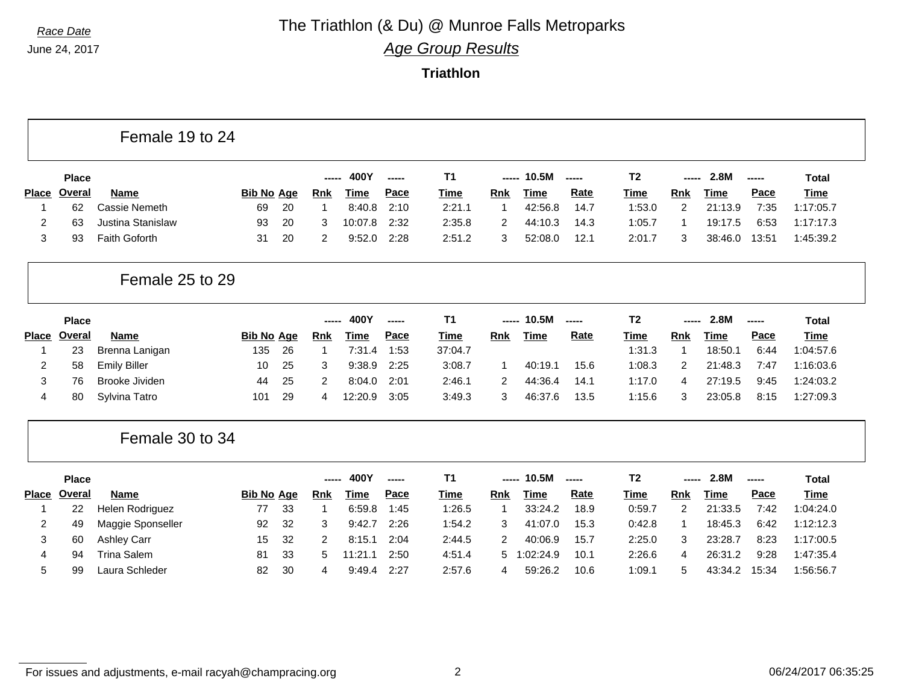## *Race Date* **The Triathlon (& Du) @ Munroe Falls Metroparks**

*Age Group Results*

|              |               | Female 19 to 24      |                   |    |             |             |        |                |            |             |             |                |                |             |       |              |
|--------------|---------------|----------------------|-------------------|----|-------------|-------------|--------|----------------|------------|-------------|-------------|----------------|----------------|-------------|-------|--------------|
|              | <b>Place</b>  |                      |                   |    | -----       | 400Y        | ------ | T <sub>1</sub> | -----      | 10.5M       | -----       | T <sub>2</sub> | -----          | 2.8M        | ----- | <b>Total</b> |
| <b>Place</b> | <b>Overal</b> | <b>Name</b>          | <b>Bib No Age</b> |    | Rnk         | <b>Time</b> | Pace   | <b>Time</b>    | <b>Rnk</b> | <b>Time</b> | <b>Rate</b> | <b>Time</b>    | <b>Rnk</b>     | <b>Time</b> | Pace  | <b>Time</b>  |
|              | 62            | <b>Cassie Nemeth</b> | 69                | 20 | -1          | 8:40.8      | 2:10   | 2:21.1         | -1         | 42:56.8     | 14.7        | 1:53.0         | 2              | 21:13.9     | 7:35  | 1:17:05.7    |
| 2            | 63            | Justina Stanislaw    | 93                | 20 | 3           | 10:07.8     | 2:32   | 2:35.8         | 2          | 44:10.3     | 14.3        | 1:05.7         | -1             | 19:17.5     | 6:53  | 1:17:17.3    |
| 3            | 93            | Faith Goforth        | 31                | 20 | 2           | 9:52.0      | 2:28   | 2:51.2         | 3          | 52:08.0     | 12.1        | 2:01.7         | 3              | 38:46.0     | 13:51 | 1:45:39.2    |
|              |               | Female 25 to 29      |                   |    |             |             |        |                |            |             |             |                |                |             |       |              |
|              | <b>Place</b>  |                      |                   |    | -----       | 400Y        | -----  | T <sub>1</sub> | -----      | 10.5M       | -----       | T <sub>2</sub> | -----          | 2.8M        | ----- | <b>Total</b> |
| <b>Place</b> | <b>Overal</b> | <b>Name</b>          | <b>Bib No Age</b> |    | <b>Rnk</b>  | <b>Time</b> | Pace   | <b>Time</b>    | Rnk        | <b>Time</b> | Rate        | <b>Time</b>    | Rnk            | Time        | Pace  | Time         |
| 1            | 23            | Brenna Lanigan       | 135               | 26 | $\mathbf 1$ | 7:31.4      | 1:53   | 37:04.7        |            |             |             | 1:31.3         | $\mathbf{1}$   | 18:50.1     | 6:44  | 1:04:57.6    |
| 2            | 58            | <b>Emily Biller</b>  | 10                | 25 | 3           | 9:38.9      | 2:25   | 3:08.7         | -1         | 40:19.1     | 15.6        | 1:08.3         | 2              | 21:48.3     | 7:47  | 1:16:03.6    |
| 3            | 76            | Brooke Jividen       | 44                | 25 | 2           | 8:04.0      | 2:01   | 2:46.1         | 2          | 44:36.4     | 14.1        | 1:17.0         | 4              | 27:19.5     | 9:45  | 1:24:03.2    |
| 4            | 80            | Sylvina Tatro        | 101               | 29 | 4           | 12:20.9     | 3:05   | 3:49.3         | 3          | 46:37.6     | 13.5        | 1:15.6         | 3              | 23:05.8     | 8:15  | 1:27:09.3    |
|              |               | Female 30 to 34      |                   |    |             |             |        |                |            |             |             |                |                |             |       |              |
|              | <b>Place</b>  |                      |                   |    | -----       | 400Y        | -----  | T <sub>1</sub> | -----      | 10.5M       | -----       | T <sub>2</sub> | -----          | 2.8M        | ----- | <b>Total</b> |
| <b>Place</b> | Overal        | Name                 | <b>Bib No Age</b> |    | <b>Rnk</b>  | <b>Time</b> | Pace   | <b>Time</b>    | <b>Rnk</b> | <b>Time</b> | <b>Rate</b> | <b>Time</b>    | <b>Rnk</b>     | Time        | Pace  | <b>Time</b>  |
| 1            | 22            | Helen Rodriguez      | 77                | 33 | -1          | 6:59.8      | 1:45   | 1:26.5         | -1         | 33:24.2     | 18.9        | 0:59.7         | $\overline{2}$ | 21:33.5     | 7:42  | 1:04:24.0    |
| 2            | 49            | Maggie Sponseller    | 92                | 32 | 3           | 9:42.7      | 2:26   | 1:54.2         | 3          | 41:07.0     | 15.3        | 0:42.8         | $\mathbf{1}$   | 18:45.3     | 6:42  | 1:12:12.3    |
| 3            | 60            | <b>Ashley Carr</b>   | 15                | 32 | 2           | 8:15.1      | 2:04   | 2:44.5         | 2          | 40:06.9     | 15.7        | 2:25.0         | 3              | 23:28.7     | 8:23  | 1:17:00.5    |
| 4            | 94            | <b>Trina Salem</b>   | 81                | 33 | 5           | 11:21.1     | 2:50   | 4:51.4         | 5          | :02:24.9    | 10.1        | 2:26.6         | 4              | 26:31.2     | 9:28  | 1:47:35.4    |
| 5            | 99            | Laura Schleder       | 82                | 30 | 4           | 9:49.4      | 2:27   | 2:57.6         |            | 59:26.2     | 10.6        | 1:09.1         |                | 43:34.2     | 15:34 | 1:56:56.7    |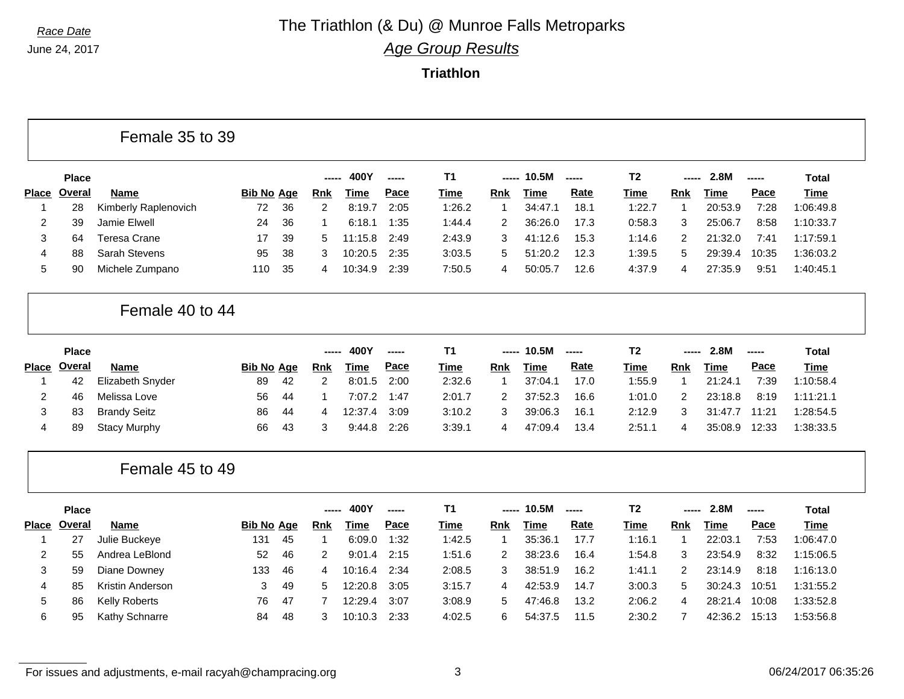#### *Race Date* **The Triathlon (& Du) @ Munroe Falls Metroparks** *Age Group Results*

**Triathlon**

|                |               | Female 35 to 39      |                   |    |              |             |        |                |                |             |                          |                |                |             |       |              |
|----------------|---------------|----------------------|-------------------|----|--------------|-------------|--------|----------------|----------------|-------------|--------------------------|----------------|----------------|-------------|-------|--------------|
|                | <b>Place</b>  |                      |                   |    | -----        | 400Y        | -----  | <b>T1</b>      | -----          | 10.5M       | $\overline{\phantom{a}}$ | T <sub>2</sub> | -----          | 2.8M        | ----- | <b>Total</b> |
| <b>Place</b>   | Overal        | <b>Name</b>          | <b>Bib No Age</b> |    | Rnk          | <b>Time</b> | Pace   | <b>Time</b>    | Rnk            | Time        | Rate                     | <b>Time</b>    | Rnk            | <b>Time</b> | Pace  | <b>Time</b>  |
| -1             | 28            | Kimberly Raplenovich | 72                | 36 | 2            | 8:19.7      | 2:05   | 1:26.2         | $\mathbf 1$    | 34:47.1     | 18.1                     | 1:22.7         | 1              | 20:53.9     | 7:28  | 1:06:49.8    |
| 2              | 39            | Jamie Elwell         | 24                | 36 | $\mathbf 1$  | 6:18.1      | 1:35   | 1:44.4         | 2              | 36:26.0     | 17.3                     | 0:58.3         | 3              | 25:06.7     | 8:58  | 1:10:33.7    |
| 3              | 64            | <b>Teresa Crane</b>  | 17                | 39 | 5            | 11:15.8     | 2:49   | 2:43.9         | 3              | 41:12.6     | 15.3                     | 1:14.6         | $\overline{2}$ | 21:32.0     | 7:41  | 1:17:59.1    |
| 4              | 88            | Sarah Stevens        | 95                | 38 | 3            | 10:20.5     | 2:35   | 3:03.5         | 5              | 51:20.2     | 12.3                     | 1:39.5         | 5              | 29:39.4     | 10:35 | 1:36:03.2    |
| 5              | 90            | Michele Zumpano      | 110               | 35 | 4            | 10:34.9     | 2:39   | 7:50.5         | $\overline{4}$ | 50:05.7     | 12.6                     | 4:37.9         | 4              | 27:35.9     | 9:51  | 1:40:45.1    |
|                |               | Female 40 to 44      |                   |    |              |             |        |                |                |             |                          |                |                |             |       |              |
|                | <b>Place</b>  |                      |                   |    | -----        | 400Y        | -----  | T <sub>1</sub> | -----          | 10.5M       | ------                   | T <sub>2</sub> | -----          | 2.8M        | ----- | <b>Total</b> |
| <b>Place</b>   | <b>Overal</b> | Name                 | <b>Bib No Age</b> |    | <b>Rnk</b>   | <b>Time</b> | Pace   | <b>Time</b>    | <b>Rnk</b>     | <b>Time</b> | Rate                     | <b>Time</b>    | <b>Rnk</b>     | <b>Time</b> | Pace  | <b>Time</b>  |
| -1             | 42            | Elizabeth Snyder     | 89                | 42 | 2            | 8:01.5      | 2:00   | 2:32.6         | $\mathbf{1}$   | 37:04.1     | 17.0                     | 1:55.9         | $\mathbf{1}$   | 21:24.1     | 7:39  | 1:10:58.4    |
| $\overline{2}$ | 46            | Melissa Love         | 56                | 44 | $\mathbf 1$  | 7:07.2      | 1:47   | 2:01.7         | 2              | 37:52.3     | 16.6                     | 1:01.0         | $\overline{2}$ | 23:18.8     | 8:19  | 1:11:21.1    |
| 3              | 83            | <b>Brandy Seitz</b>  | 86                | 44 | 4            | 12:37.4     | 3:09   | 3:10.2         | 3              | 39:06.3     | 16.1                     | 2:12.9         | 3              | 31:47.7     | 11:21 | 1:28:54.5    |
| 4              | 89            | <b>Stacy Murphy</b>  | 66                | 43 | 3            | 9:44.8      | 2:26   | 3:39.1         | 4              | 47:09.4     | 13.4                     | 2:51.1         | 4              | 35:08.9     | 12:33 | 1:38:33.5    |
|                |               | Female 45 to 49      |                   |    |              |             |        |                |                |             |                          |                |                |             |       |              |
|                | <b>Place</b>  |                      |                   |    | -----        | 400Y        | ------ | T <sub>1</sub> | -----          | 10.5M       | ------                   | T <sub>2</sub> | -----          | 2.8M        | ----- | <b>Total</b> |
| <b>Place</b>   | <b>Overal</b> | <b>Name</b>          | <b>Bib No Age</b> |    | <b>Rnk</b>   | <b>Time</b> | Pace   | <b>Time</b>    | <b>Rnk</b>     | <b>Time</b> | Rate                     | <b>Time</b>    | <b>Rnk</b>     | <b>Time</b> | Pace  | <b>Time</b>  |
| -1             | 27            | Julie Buckeye        | 131               | 45 | $\mathbf{1}$ | 6:09.0      | 1:32   | 1:42.5         | $\mathbf{1}$   | 35:36.1     | 17.7                     | 1:16.1         | $\mathbf{1}$   | 22:03.1     | 7:53  | 1:06:47.0    |
| $\overline{c}$ | 55            | Andrea LeBlond       | 52                | 46 | 2            | 9:01.4      | 2:15   | 1:51.6         | 2              | 38:23.6     | 16.4                     | 1:54.8         | 3              | 23:54.9     | 8:32  | 1:15:06.5    |
| 3              | 59            | Diane Downey         | 133               | 46 | 4            | 10:16.4     | 2:34   | 2:08.5         | 3              | 38:51.9     | 16.2                     | 1:41.1         | $\overline{2}$ | 23:14.9     | 8:18  | 1:16:13.0    |
| 4              | 85            | Kristin Anderson     | 3                 | 49 | 5            | 12:20.8     | 3:05   | 3:15.7         | $\overline{4}$ | 42:53.9     | 14.7                     | 3:00.3         | 5              | 30:24.3     | 10:51 | 1:31:55.2    |
|                | 86            | <b>Kelly Roberts</b> | 76                | 47 | 7            | 12:29.4     | 3:07   | 3:08.9         | 5              | 47:46.8     | 13.2                     | 2:06.2         | 4              | 28:21.4     | 10:08 | 1:33:52.8    |
| 5              |               |                      |                   |    |              |             |        |                |                |             |                          |                |                |             |       |              |

For issues and adjustments, e-mail racyah@champracing.org 3 3 06/24/2017 06:35:26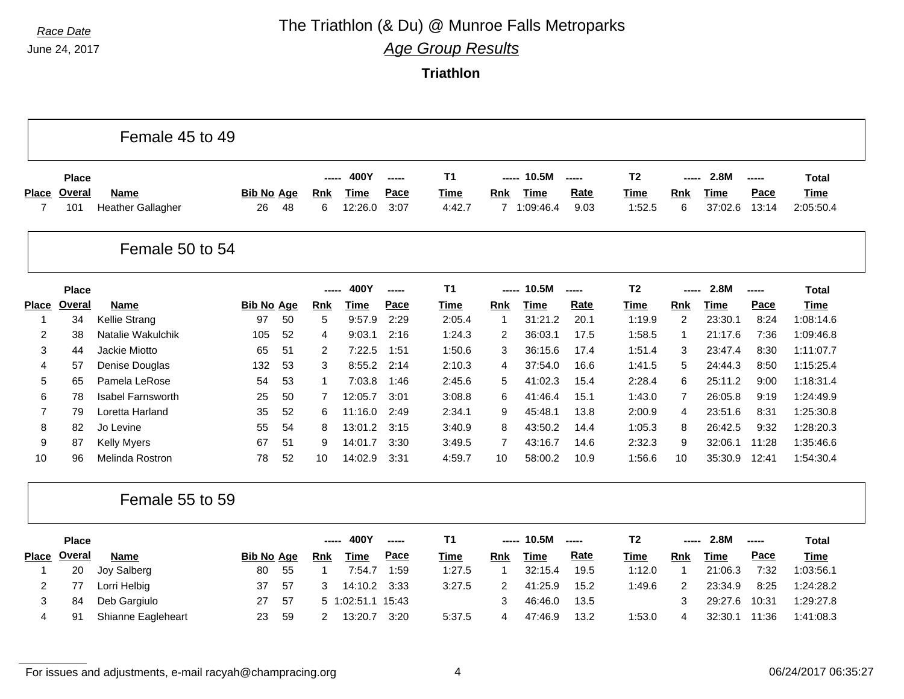### *Race Date* **The Triathlon (& Du) @ Munroe Falls Metroparks**

*Age Group Results*

**Triathlon**

|                         |               | Female 45 to 49                         |                         |    |                 |                        |              |                |                |                     |              |                       |                |                        |               |                          |
|-------------------------|---------------|-----------------------------------------|-------------------------|----|-----------------|------------------------|--------------|----------------|----------------|---------------------|--------------|-----------------------|----------------|------------------------|---------------|--------------------------|
|                         | <b>Place</b>  |                                         |                         |    |                 | 400Y                   | -----        | T <sub>1</sub> | -----          | 10.5M               | -----        | T <sub>2</sub>        | -----          | 2.8M                   | -----         | <b>Total</b>             |
| Place<br>$\overline{7}$ | Overal<br>101 | <b>Name</b><br><b>Heather Gallagher</b> | <b>Bib No Age</b><br>26 | 48 | <b>Rnk</b><br>6 | <b>Time</b><br>12:26.0 | Pace<br>3:07 | Time<br>4:42.7 | Rnk            | Time<br>7 1:09:46.4 | Rate<br>9.03 | <b>Time</b><br>1:52.5 | Rnk<br>6       | <b>Time</b><br>37:02.6 | Pace<br>13:14 | <b>Time</b><br>2:05:50.4 |
|                         |               |                                         |                         |    |                 |                        |              |                |                |                     |              |                       |                |                        |               |                          |
|                         |               | Female 50 to 54                         |                         |    |                 |                        |              |                |                |                     |              |                       |                |                        |               |                          |
|                         | <b>Place</b>  |                                         |                         |    | ------          | 400Y                   | -----        | T <sub>1</sub> | -----          | 10.5M               | -----        | T <sub>2</sub>        | -----          | 2.8M                   | -----         | Total                    |
| <b>Place</b>            | <b>Overal</b> | <b>Name</b>                             | <b>Bib No Age</b>       |    | <b>Rnk</b>      | <b>Time</b>            | Pace         | <b>Time</b>    | <b>Rnk</b>     | <b>Time</b>         | Rate         | <b>Time</b>           | Rnk            | <b>Time</b>            | Pace          | <b>Time</b>              |
| 1                       | 34            | Kellie Strang                           | 97                      | 50 | 5               | 9:57.9                 | 2:29         | 2:05.4         | -1             | 31:21.2             | 20.1         | 1:19.9                | 2              | 23:30.1                | 8:24          | 1:08:14.6                |
| $\overline{2}$          | 38            | Natalie Wakulchik                       | 105                     | 52 | 4               | 9:03.1                 | 2:16         | 1:24.3         | 2              | 36:03.1             | 17.5         | 1:58.5                | 1              | 21:17.6                | 7:36          | 1:09:46.8                |
| 3                       | 44            | Jackie Miotto                           | 65                      | 51 | $\overline{2}$  | 7:22.5                 | 1:51         | 1:50.6         | 3              | 36:15.6             | 17.4         | 1:51.4                | 3              | 23:47.4                | 8:30          | 1:11:07.7                |
| 4                       | 57            | Denise Douglas                          | 132                     | 53 | 3               | 8:55.2                 | 2:14         | 2:10.3         | 4              | 37:54.0             | 16.6         | 1:41.5                | 5              | 24:44.3                | 8:50          | 1:15:25.4                |
| 5                       | 65            | Pamela LeRose                           | 54                      | 53 | 1               | 7:03.8                 | 1:46         | 2:45.6         | 5              | 41:02.3             | 15.4         | 2:28.4                | 6              | 25:11.2                | 9:00          | 1:18:31.4                |
| 6                       | 78            | <b>Isabel Farnsworth</b>                | 25                      | 50 | $\overline{7}$  | 12:05.7                | 3:01         | 3:08.8         | 6              | 41:46.4             | 15.1         | 1:43.0                | $\overline{7}$ | 26:05.8                | 9:19          | 1:24:49.9                |
| $\overline{7}$          | 79            | Loretta Harland                         | 35                      | 52 | 6               | 11:16.0                | 2:49         | 2:34.1         | 9              | 45:48.1             | 13.8         | 2:00.9                | $\overline{4}$ | 23:51.6                | 8:31          | 1:25:30.8                |
| 8                       | 82            | Jo Levine                               | 55                      | 54 | 8               | 13:01.2                | 3:15         | 3:40.9         | 8              | 43:50.2             | 14.4         | 1:05.3                | 8              | 26:42.5                | 9:32          | 1:28:20.3                |
| 9                       | 87            | <b>Kelly Myers</b>                      | 67                      | 51 | 9               | 14:01.7                | 3:30         | 3:49.5         | $\overline{7}$ | 43:16.7             | 14.6         | 2:32.3                | 9              | 32:06.1                | 11:28         | 1:35:46.6                |
| 10                      | 96            | Melinda Rostron                         | 78                      | 52 | 10              | 14:02.9                | 3:31         | 4:59.7         | 10             | 58:00.2             | 10.9         | 1:56.6                | 10             | 35:30.9                | 12:41         | 1:54:30.4                |
|                         |               | Female 55 to 59                         |                         |    |                 |                        |              |                |                |                     |              |                       |                |                        |               |                          |
|                         | <b>Place</b>  |                                         |                         |    |                 | 400Y                   | -----        | T <sub>1</sub> | -----          | 10.5M               | -----        | T <sub>2</sub>        | -----          | 2.8M                   | -----         | <b>Total</b>             |
| <b>Place</b>            | Overal        | <b>Name</b>                             | <b>Bib No Age</b>       |    | <b>Rnk</b>      | <b>Time</b>            | Pace         | <b>Time</b>    | Rnk            | <b>Time</b>         | <b>Rate</b>  | Time                  | Rnk            | <b>Time</b>            | Pace          | <b>Time</b>              |
| $\mathbf 1$             | 20            | Joy Salberg                             | 80                      | 55 | 1               | 7:54.7                 | 1:59         | 1:27.5         | $\mathbf{1}$   | 32:15.4             | 19.5         | 1:12.0                | $\mathbf{1}$   | 21:06.3                | 7:32          | 1:03:56.1                |
| $\overline{2}$          | 77            | Lorri Helbig                            | 37                      | 57 | 3               | 14:10.2                | 3:33         | 3:27.5         | $\overline{2}$ | 41:25.9             | 15.2         | 1:49.6                | 2              | 23:34.9                | 8:25          | 1:24:28.2                |
| 3                       | 84            | Deb Gargiulo                            | 27                      | 57 |                 | 5 1:02:51.1 15:43      |              |                | 3              | 46:46.0             | 13.5         |                       | 3              | 29:27.6                | 10:31         | 1:29:27.8                |
| 4                       | 91            | Shianne Eagleheart                      | 23                      | 59 | 2               | 13:20.7                | 3:20         | 5:37.5         | 4              | 47:46.9             | 13.2         | 1:53.0                | $\overline{4}$ | 32:30.1                | 11:36         | 1:41:08.3                |

For issues and adjustments, e-mail racyah@champracing.org 4 06/24/2017 06:35:27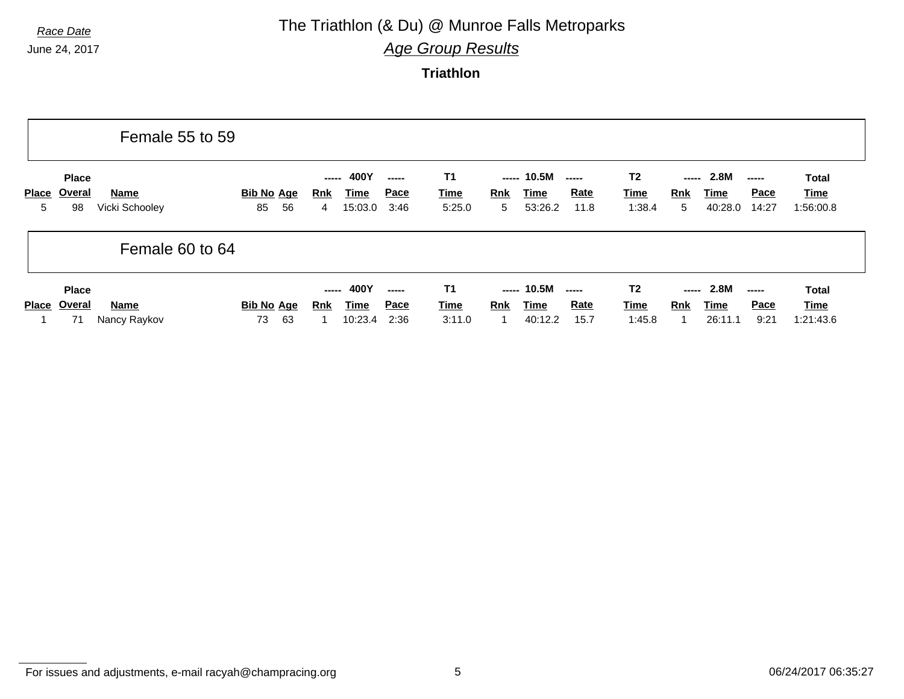### *Race Date* **The Triathlon (& Du) @ Munroe Falls Metroparks**

*Age Group Results*

|                   |                              | Female 55 to 59               |                               |                                                     |              |                                    |                                                                                                                                     |                                         |                                                                                                                                                                                                                                                                                                                                                                                                                                                                                                                                                                           |                                   |
|-------------------|------------------------------|-------------------------------|-------------------------------|-----------------------------------------------------|--------------|------------------------------------|-------------------------------------------------------------------------------------------------------------------------------------|-----------------------------------------|---------------------------------------------------------------------------------------------------------------------------------------------------------------------------------------------------------------------------------------------------------------------------------------------------------------------------------------------------------------------------------------------------------------------------------------------------------------------------------------------------------------------------------------------------------------------------|-----------------------------------|
| <b>Place</b><br>5 | <b>Place</b><br>Overal<br>98 | <b>Name</b><br>Vicki Schooley | <b>Bib No Age</b><br>56<br>85 | 400Y<br>-----<br><u>Time</u><br>Rnk<br>15:03.0<br>4 | Pace<br>3:46 | <b>T1</b><br><b>Time</b><br>5:25.0 | 10.5M<br>-----<br><b>Rate</b><br>Rnk<br>Time<br>53:26.2<br>11.8<br>5                                                                | T <sub>2</sub><br><b>Time</b><br>1:38.4 | 2.8M<br>-----<br>-----<br><b>Pace</b><br><b>Rnk</b><br>Time<br>5<br>40:28.0<br>14:27                                                                                                                                                                                                                                                                                                                                                                                                                                                                                      | <b>Total</b><br>Time<br>1:56:00.8 |
|                   |                              | Female 60 to 64               |                               |                                                     |              |                                    |                                                                                                                                     |                                         |                                                                                                                                                                                                                                                                                                                                                                                                                                                                                                                                                                           |                                   |
| <b>Place</b>      | <b>Place</b><br>Overal<br>71 | <b>Name</b><br>Nancy Raykov   | Bib No Age<br>73<br>63        | $--- 400Y$<br><u>Time</u><br>Rnk<br>10:23.4         | Pace<br>2:36 | <b>T1</b><br><b>Time</b><br>3:11.0 | $--- 10.5M$<br>$\begin{array}{ccc} \texttt{---} & \texttt{---} \end{array}$<br><b>Rate</b><br><u>Rnk</u><br>Time<br>40:12.2<br>15.7 | T <sub>2</sub><br><u>Time</u><br>1:45.8 | 2.8M<br>-----<br>$\begin{array}{c} \multicolumn{3}{c}{} & \multicolumn{3}{c}{} & \multicolumn{3}{c}{} \\ \multicolumn{3}{c}{} & \multicolumn{3}{c}{} & \multicolumn{3}{c}{} & \multicolumn{3}{c}{} \\ \multicolumn{3}{c}{} & \multicolumn{3}{c}{} & \multicolumn{3}{c}{} & \multicolumn{3}{c}{} \\ \multicolumn{3}{c}{} & \multicolumn{3}{c}{} & \multicolumn{3}{c}{} & \multicolumn{3}{c}{} \\ \multicolumn{3}{c}{} & \multicolumn{3}{c}{} & \multicolumn{3}{c}{} & \multicolumn{3}{c}{} \\ \multicolumn$<br><b>Pace</b><br><b>Rnk</b><br><b>Time</b><br>9:21<br>26:11.1 | Total<br><u>Time</u><br>1:21:43.6 |

For issues and adjustments, e-mail racyah@champracing.org 5 6 06/24/2017 06:35:27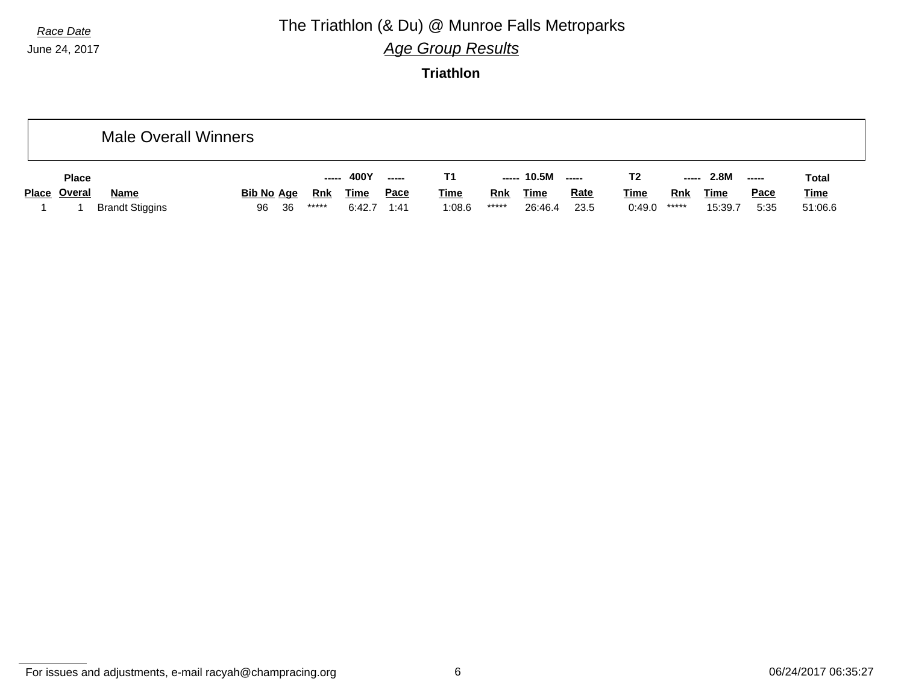## *Race Date* **The Triathlon (& Du) @ Munroe Falls Metroparks**

*Age Group Results*

**Triathlon**

|                     | <b>Male Overall Winners</b> |                   |    |        |             |               |             |            |                   |             |             |            |             |             |              |
|---------------------|-----------------------------|-------------------|----|--------|-------------|---------------|-------------|------------|-------------------|-------------|-------------|------------|-------------|-------------|--------------|
| <b>Place</b>        |                             |                   |    | ------ | 400Y        | $\frac{1}{2}$ |             |            | ----- 10.5M ----- |             | T2          | -----      | 2.8M        | $--- -$     | <b>Total</b> |
| <b>Place Overal</b> | <b>Name</b>                 | <b>Bib No Age</b> |    | Rnk    | <b>Time</b> | <u>Pace</u>   | <b>Time</b> | <b>Rnk</b> | <b>Time</b>       | <b>Rate</b> | <u>Time</u> | <b>Rnk</b> | <b>Time</b> | <u>Pace</u> | <b>Time</b>  |
|                     | <b>Brandt Stiggins</b>      | 96                | 36 | *****  | 6:42.7      | 1:41          | 1:08.6      | *****      | 26:46.4           | 23.5        | 0:49.0      | *****      | 15:39.7     | 5:35        | 51:06.6      |

For issues and adjustments, e-mail racyah@champracing.org 6 06/24/2017 06:35:27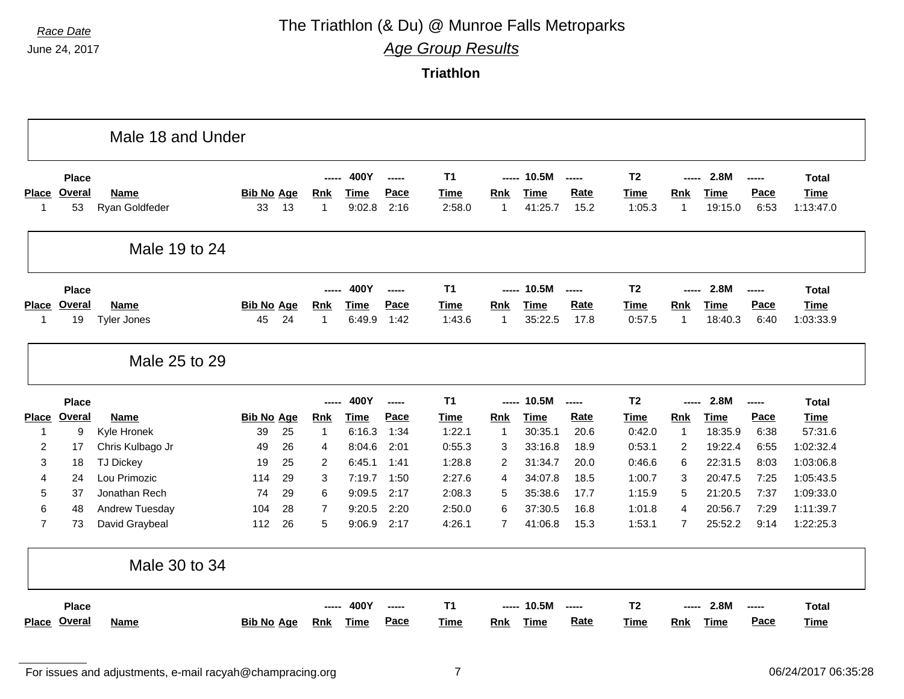## *Race Date* **The Triathlon (& Du) @ Munroe Falls Metroparks**

*Age Group Results*

|                 |               | Male 18 and Under  |                   |    |                |             |       |                |                |             |             |                |                |             |        |              |
|-----------------|---------------|--------------------|-------------------|----|----------------|-------------|-------|----------------|----------------|-------------|-------------|----------------|----------------|-------------|--------|--------------|
|                 | <b>Place</b>  |                    |                   |    |                | 400Y        | ----- | T <sub>1</sub> | -----          | 10.5M       | $---$       | T <sub>2</sub> |                | 2.8M        | ------ | <b>Total</b> |
| <b>Place</b>    | <b>Overal</b> | Name               | <b>Bib No Age</b> |    | <b>Rnk</b>     | <b>Time</b> | Pace  | <b>Time</b>    | <b>Rnk</b>     | <b>Time</b> | <b>Rate</b> | <b>Time</b>    | <b>Rnk</b>     | <b>Time</b> | Pace   | <b>Time</b>  |
| $\mathbf{1}$    | 53            | Ryan Goldfeder     | 33                | 13 | 1              | 9:02.8      | 2:16  | 2:58.0         | $\overline{1}$ | 41:25.7     | 15.2        | 1:05.3         | 1              | 19:15.0     | 6:53   | 1:13:47.0    |
|                 |               | Male 19 to 24      |                   |    |                |             |       |                |                |             |             |                |                |             |        |              |
|                 | <b>Place</b>  |                    |                   |    |                | 400Y        | ----- | T <sub>1</sub> | -----          | 10.5M       | $- - - - -$ | T <sub>2</sub> | -----          | 2.8M        | -----  | <b>Total</b> |
| <b>Place</b>    | Overal        | <b>Name</b>        | <b>Bib No Age</b> |    | <b>Rnk</b>     | <b>Time</b> | Pace  | <b>Time</b>    | Rnk            | <b>Time</b> | <b>Rate</b> | <b>Time</b>    | <b>Rnk</b>     | <b>Time</b> | Pace   | <b>Time</b>  |
| -1              | 19            | <b>Tyler Jones</b> | 45                | 24 | 1              | 6:49.9      | 1:42  | 1:43.6         | $\mathbf{1}$   | 35:22.5     | 17.8        | 0:57.5         | 1              | 18:40.3     | 6:40   | 1:03:33.9    |
|                 |               | Male 25 to 29      |                   |    |                |             |       |                |                |             |             |                |                |             |        |              |
|                 |               |                    |                   |    |                |             |       |                |                |             |             |                |                |             |        |              |
|                 | <b>Place</b>  |                    |                   |    |                | 400Y        | ----- | T <sub>1</sub> | -----          | 10.5M       | $- - - - -$ | T <sub>2</sub> | -----          | 2.8M        | -----  | <b>Total</b> |
| <b>Place</b>    | <b>Overal</b> | Name               | <b>Bib No Age</b> |    | <b>Rnk</b>     | <b>Time</b> | Pace  | <b>Time</b>    | Rnk            | <b>Time</b> | <b>Rate</b> | <b>Time</b>    | <b>Rnk</b>     | <b>Time</b> | Pace   | <b>Time</b>  |
| $\mathbf{1}$    | 9             | Kyle Hronek        | 39                | 25 | 1              | 6:16.3      | 1:34  | 1:22.1         | $\overline{1}$ | 30:35.1     | 20.6        | 0:42.0         | $\mathbf{1}$   | 18:35.9     | 6:38   | 57:31.6      |
| $\overline{2}$  | 17            | Chris Kulbago Jr   | 49                | 26 | 4              | 8:04.6      | 2:01  | 0:55.3         | 3              | 33:16.8     | 18.9        | 0:53.1         | 2              | 19:22.4     | 6:55   | 1:02:32.4    |
| 3               | 18            | <b>TJ Dickey</b>   | 19                | 25 | 2              | 6:45.1      | 1:41  | 1:28.8         | 2              | 31:34.7     | 20.0        | 0:46.6         | 6              | 22:31.5     | 8:03   | 1:03:06.8    |
| $\overline{4}$  | 24            | Lou Primozic       | 114               | 29 | 3              | 7:19.7      | 1:50  | 2:27.6         | $\overline{4}$ | 34:07.8     | 18.5        | 1:00.7         | 3              | 20:47.5     | 7:25   | 1:05:43.5    |
| 5               | 37            | Jonathan Rech      | 74                | 29 | 6              | 9:09.5      | 2:17  | 2:08.3         | 5              | 35:38.6     | 17.7        | 1:15.9         | 5              | 21:20.5     | 7:37   | 1:09:33.0    |
| $6\phantom{1}6$ | 48            | Andrew Tuesday     | 104               | 28 | $\overline{7}$ | 9:20.5      | 2:20  | 2:50.0         | 6              | 37:30.5     | 16.8        | 1:01.8         | 4              | 20:56.7     | 7:29   | 1:11:39.7    |
| $\overline{7}$  | 73            | David Graybeal     | 112               | 26 | 5              | 9:06.9      | 2:17  | 4:26.1         | $\overline{7}$ | 41:06.8     | 15.3        | 1:53.1         | $\overline{7}$ | 25:52.2     | 9:14   | 1:22:25.3    |
|                 |               | Male 30 to 34      |                   |    |                |             |       |                |                |             |             |                |                |             |        |              |
|                 | <b>Place</b>  |                    |                   |    |                | 400Y        | ----- | <b>T1</b>      | -----          | 10.5M       | -----       | T <sub>2</sub> |                | 2.8M        | -----  | <b>Total</b> |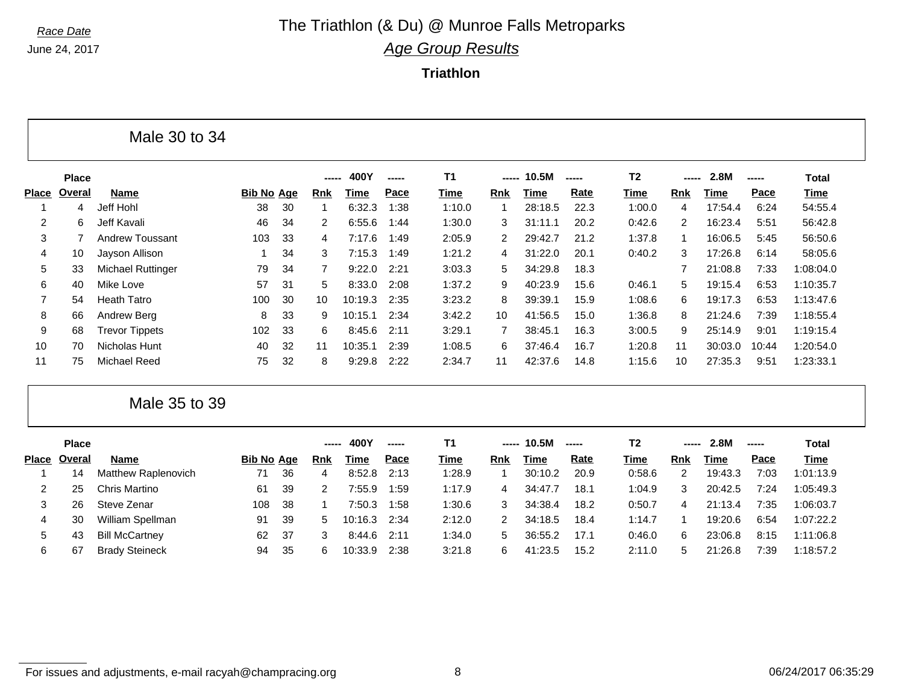June 24, 2017

#### *Race Date* **The Triathlon (& Du) @ Munroe Falls Metroparks** *Age Group Results*

**Triathlon**

|                |              | Male 30 to 34            |                   |    |       |         |       |             |               |         |       |                |            |         |       |              |  |
|----------------|--------------|--------------------------|-------------------|----|-------|---------|-------|-------------|---------------|---------|-------|----------------|------------|---------|-------|--------------|--|
|                | <b>Place</b> |                          |                   |    | ----- | 400Y    | ----- | <b>T1</b>   | -----         | 10.5M   | ----- | T <sub>2</sub> | -----      | 2.8M    |       | <b>Total</b> |  |
| <b>Place</b>   | Overal       | Name                     | <b>Bib No Age</b> |    | Rnk   | Time    | Pace  | <u>Time</u> | Rnk           | Time    | Rate  | Time           | <b>Rnk</b> | Time    | Pace  | <b>Time</b>  |  |
|                | 4            | Jeff Hohl                | 38                | 30 |       | 6:32.3  | 1:38  | 1:10.0      |               | 28:18.5 | 22.3  | 1:00.0         | 4          | 17:54.4 | 6:24  | 54:55.4      |  |
| 2              | 6            | Jeff Kavali              | 46                | 34 | 2     | 6:55.6  | 1:44  | 1:30.0      | 3.            | 31:11.1 | 20.2  | 0:42.6         | 2          | 16:23.4 | 5:51  | 56:42.8      |  |
| 3              |              | Andrew Toussant          | 103               | 33 | 4     | 7:17.6  | 1:49  | 2:05.9      | $\mathcal{P}$ | 29:42.7 | 21.2  | 1:37.8         |            | 16:06.5 | 5:45  | 56:50.6      |  |
| 4              | 10           | Jayson Allison           |                   | 34 | 3     | 7:15.3  | 1:49  | 1:21.2      | 4             | 31:22.0 | 20.1  | 0:40.2         | 3          | 17:26.8 | 6:14  | 58:05.6      |  |
| 5              | 33           | <b>Michael Ruttinger</b> | 79                | 34 |       | 9:22.0  | 2:21  | 3:03.3      | 5.            | 34:29.8 | 18.3  |                |            | 21:08.8 | 7:33  | 1:08:04.0    |  |
| 6              | 40           | Mike Love                | 57                | 31 | 5     | 8:33.0  | 2:08  | 1:37.2      | 9             | 40:23.9 | 15.6  | 0:46.1         | 5.         | 19:15.4 | 6:53  | 1:10:35.7    |  |
| $\overline{7}$ | 54           | <b>Heath Tatro</b>       | 100               | 30 | 10    | 10:19.3 | 2:35  | 3:23.2      | 8             | 39:39.1 | 15.9  | 1:08.6         | 6          | 19:17.3 | 6:53  | 1:13:47.6    |  |
| 8              | 66           | Andrew Berg              | 8                 | 33 | 9     | 10:15.1 | 2:34  | 3:42.2      | 10            | 41:56.5 | 15.0  | 1:36.8         | 8          | 21:24.6 | 7:39  | 1:18:55.4    |  |
| 9              | 68           | <b>Trevor Tippets</b>    | 102               | 33 | 6.    | 8:45.6  | 2:11  | 3:29.1      |               | 38:45.1 | 16.3  | 3:00.5         | 9          | 25:14.9 | 9:01  | 1:19:15.4    |  |
| 10             | 70           | Nicholas Hunt            | 40                | 32 | 11    | 10:35.1 | 2:39  | 1:08.5      | 6             | 37:46.4 | 16.7  | 1:20.8         | 11         | 30:03.0 | 10:44 | 1:20:54.0    |  |
| 11             | 75           | Michael Reed             | 75                | 32 | 8     | 9:29.8  | 2:22  | 2:34.7      | 11            | 42:37.6 | 14.8  | 1:15.6         | 10         | 27:35.3 | 9:51  | 1:23:33.1    |  |

Male 35 to 39

|       | <b>Place</b> |                       |                   |     | ----       | 400Y    | ----- |             | ----- | 10.5M   |      | Τ2     | ----- | 2.8M    | ----- | Total       |
|-------|--------------|-----------------------|-------------------|-----|------------|---------|-------|-------------|-------|---------|------|--------|-------|---------|-------|-------------|
| Place | Overal       | <b>Name</b>           | <b>Bib No Age</b> |     | <b>Rnk</b> | Time    | Pace  | <u>Time</u> | Rnk   | Time    | Rate | Time   | Rnk   | Time    | Pace  | <u>Time</u> |
|       | 14           | Matthew Raplenovich   | 71                | 36  | 4          | 8:52.8  | 2:13  | 1:28.9      |       | 30:10.2 | 20.9 | 0:58.6 | 2     | 19:43.3 | 7:03  | 1:01:13.9   |
|       | 25           | Chris Martino         | 61                | 39  |            | 7:55.9  | 1:59  | 1:17.9      | 4     | 34:47.7 | 18.1 | 1:04.9 | 3     | 20:42.5 | 7:24  | 1:05:49.3   |
|       | 26           | Steve Zenar           | 108               | -38 |            | 7:50.3  | 1:58  | 1:30.6      | 3     | 34:38.4 | 18.2 | 0:50.7 | 4     | 21:13.4 | 7:35  | 1:06:03.7   |
| 4     | 30           | William Spellman      | 91                | 39  | 5          | 10:16.3 | 2:34  | 2:12.0      |       | 34:18.5 | 18.4 | 1:14.7 |       | 19:20.6 | 6:54  | 1:07:22.2   |
| 5     | 43           | <b>Bill McCartney</b> | 62                | -37 |            | 8:44.6  | 2:11  | 1:34.0      | 5.    | 36:55.2 | 17.1 | 0:46.0 | 6     | 23:06.8 | 8:15  | 1:11:06.8   |
| 6     | 67           | <b>Brady Steineck</b> | 94                | -35 | 6          | 10:33.9 | 2:38  | 3:21.8      | 6.    | 41:23.5 | 15.2 | 2:11.0 | 5     | 21:26.8 | 7:39  | 1:18:57.2   |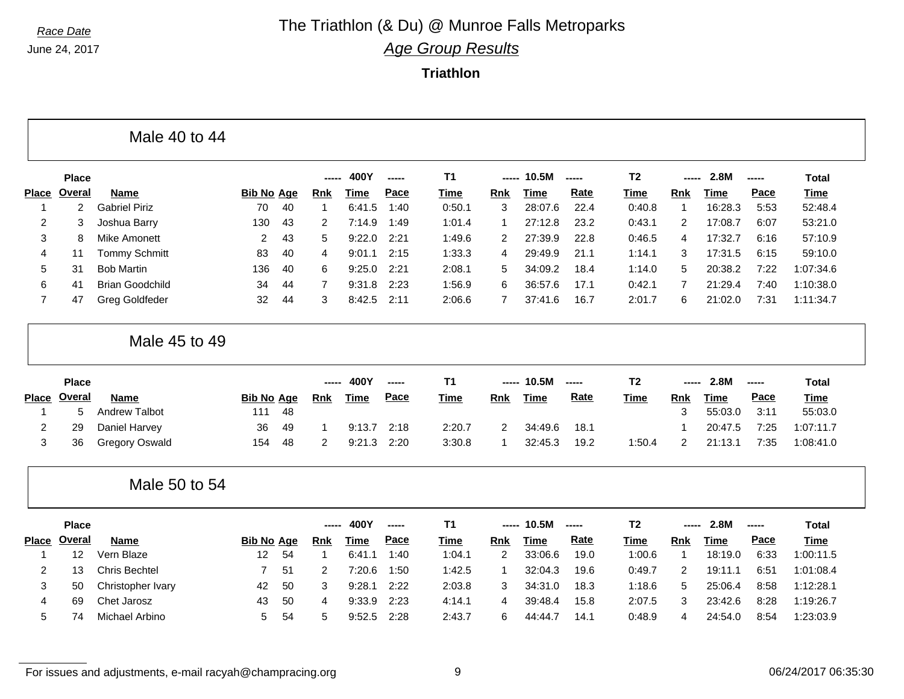June 24, 2017

#### *Race Date* **The Triathlon (& Du) @ Munroe Falls Metroparks** *Age Group Results*

|                |               | Male 40 to 44          |                   |    |                |             |               |                |                |             |       |                |                |             |               |              |
|----------------|---------------|------------------------|-------------------|----|----------------|-------------|---------------|----------------|----------------|-------------|-------|----------------|----------------|-------------|---------------|--------------|
|                | <b>Place</b>  |                        |                   |    |                | 400Y        | -----         | <b>T1</b>      | -----          | 10.5M       | ----- | T <sub>2</sub> | -----          | 2.8M        | $- - - - -$   | <b>Total</b> |
| <b>Place</b>   | <b>Overal</b> | Name                   | <b>Bib No Age</b> |    | <b>Rnk</b>     | <b>Time</b> | Pace          | <b>Time</b>    | Rnk            | <b>Time</b> | Rate  | <b>Time</b>    | Rnk            | <b>Time</b> | Pace          | <b>Time</b>  |
| $\overline{1}$ | 2             | <b>Gabriel Piriz</b>   | 70                | 40 | $\mathbf 1$    | 6:41.5      | 1:40          | 0:50.1         | 3              | 28:07.6     | 22.4  | 0:40.8         | 1              | 16:28.3     | 5:53          | 52:48.4      |
| 2              | 3             | Joshua Barry           | 130               | 43 | 2              | 7:14.9      | 1:49          | 1:01.4         | -1             | 27:12.8     | 23.2  | 0:43.1         | 2              | 17:08.7     | 6:07          | 53:21.0      |
| 3              | 8             | <b>Mike Amonett</b>    | 2                 | 43 | 5              | 9:22.0      | 2:21          | 1:49.6         | $\overline{2}$ | 27:39.9     | 22.8  | 0:46.5         | 4              | 17:32.7     | 6:16          | 57:10.9      |
| 4              | 11            | <b>Tommy Schmitt</b>   | 83                | 40 | 4              | 9:01.1      | 2:15          | 1:33.3         | $\overline{4}$ | 29:49.9     | 21.1  | 1:14.1         | 3              | 17:31.5     | 6:15          | 59:10.0      |
| 5              | 31            | <b>Bob Martin</b>      | 136               | 40 | 6              | 9:25.0      | 2:21          | 2:08.1         | 5              | 34:09.2     | 18.4  | 1:14.0         | 5              | 20:38.2     | 7:22          | 1:07:34.6    |
| 6              | 41            | <b>Brian Goodchild</b> | 34                | 44 | $\overline{7}$ | 9:31.8      | 2:23          | 1:56.9         | 6              | 36:57.6     | 17.1  | 0:42.1         | $\overline{7}$ | 21:29.4     | 7:40          | 1:10:38.0    |
| $\overline{7}$ | 47            | <b>Greg Goldfeder</b>  | 32                | 44 | 3              | 8:42.5      | 2:11          | 2:06.6         | 7              | 37:41.6     | 16.7  | 2:01.7         | 6              | 21:02.0     | 7:31          | 1:11:34.7    |
|                |               | Male 45 to 49          |                   |    |                |             |               |                |                |             |       |                |                |             |               |              |
|                | <b>Place</b>  |                        |                   |    |                | 400Y        | -----         | T <sub>1</sub> | -----          | 10.5M       | ----- | T <sub>2</sub> |                | 2.8M        | $- - - - -$   | <b>Total</b> |
| <b>Place</b>   | <b>Overal</b> | <b>Name</b>            | <b>Bib No Age</b> |    | <b>Rnk</b>     | <b>Time</b> | Pace          | <b>Time</b>    | <b>Rnk</b>     | <b>Time</b> | Rate  | <b>Time</b>    | <b>Rnk</b>     | <b>Time</b> | Pace          | <b>Time</b>  |
| $\overline{1}$ | 5             | <b>Andrew Talbot</b>   | 111               | 48 |                |             |               |                |                |             |       |                | 3              | 55:03.0     | 3:11          | 55:03.0      |
| $\overline{c}$ | 29            | Daniel Harvey          | 36                | 49 | -1             | 9:13.7      | 2:18          | 2:20.7         | $\overline{2}$ | 34:49.6     | 18.1  |                | 1              | 20:47.5     | 7:25          | 1:07:11.7    |
| 3              | 36            | <b>Gregory Oswald</b>  | 154               | 48 | $\overline{2}$ | 9:21.3      | 2:20          | 3:30.8         | -1             | 32:45.3     | 19.2  | 1:50.4         | 2              | 21:13.1     | 7:35          | 1:08:41.0    |
|                |               | Male 50 to 54          |                   |    |                |             |               |                |                |             |       |                |                |             |               |              |
|                | <b>Place</b>  |                        |                   |    |                | 400Y        | $\frac{1}{2}$ | T <sub>1</sub> | -----          | 10.5M       | $---$ | T <sub>2</sub> |                | 2.8M        | $\frac{1}{2}$ | <b>Total</b> |
|                | <b>Overal</b> | Name                   | <b>Bib No Age</b> |    | <b>Rnk</b>     | <b>Time</b> | Pace          | <b>Time</b>    | <b>Rnk</b>     | <b>Time</b> | Rate  | <b>Time</b>    | <b>Rnk</b>     | <b>Time</b> | Pace          | <b>Time</b>  |
| <b>Place</b>   |               | Vern Blaze             | 12                | 54 | $\mathbf 1$    | 6:41.1      | 1:40          | 1:04.1         | $\overline{2}$ | 33:06.6     | 19.0  | 1:00.6         | $\mathbf{1}$   | 18:19.0     | 6:33          | 1:00:11.5    |
| -1             | 12            |                        |                   |    |                |             |               |                |                |             |       |                |                |             |               |              |
| 2              | 13            | <b>Chris Bechtel</b>   | $\overline{7}$    | 51 | 2              | 7:20.6      | 1:50          | 1:42.5         | -1             | 32:04.3     | 19.6  | 0:49.7         | 2              | 19:11.1     | 6:51          | 1:01:08.4    |
| 3              | 50            | Christopher Ivary      | 42                | 50 | 3              | 9:28.1      | 2:22          | 2:03.8         | 3              | 34:31.0     | 18.3  | 1:18.6         | 5              | 25:06.4     | 8:58          | 1:12:28.1    |
| 4              | 69            | Chet Jarosz            | 43                | 50 | 4              | 9:33.9      | 2:23          | 4:14.1         | 4              | 39:48.4     | 15.8  | 2:07.5         | 3              | 23:42.6     | 8:28          | 1:19:26.7    |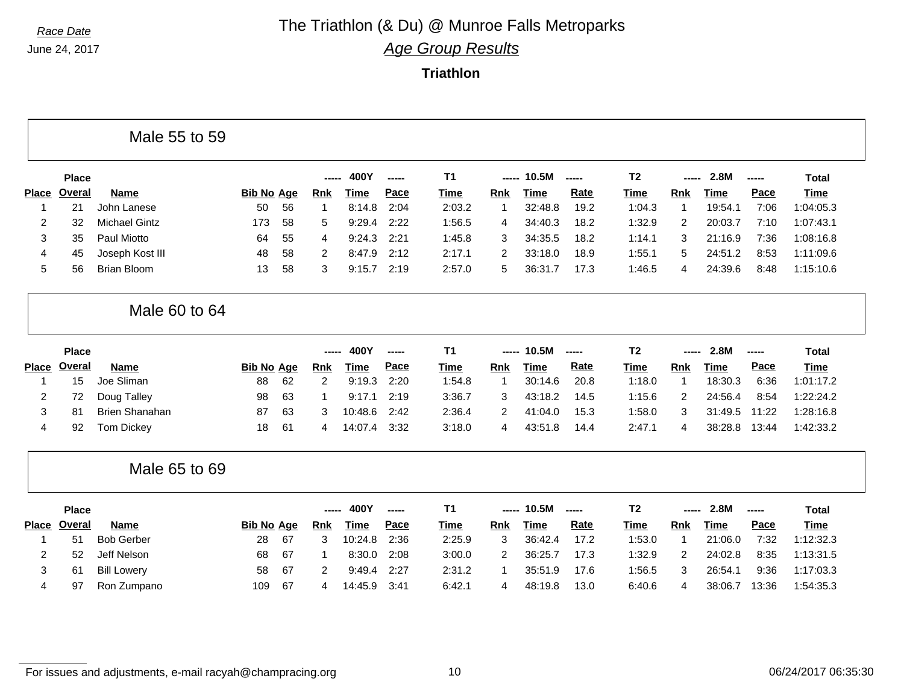June 24, 2017

## *Race Date* **The Triathlon (& Du) @ Munroe Falls Metroparks**

*Age Group Results*

**Triathlon**

|                |               | Male 55 to 59         |                   |    |                |             |        |                |                |             |        |                |                |             |        |              |
|----------------|---------------|-----------------------|-------------------|----|----------------|-------------|--------|----------------|----------------|-------------|--------|----------------|----------------|-------------|--------|--------------|
|                | <b>Place</b>  |                       |                   |    |                | 400Y        | ------ | T <sub>1</sub> |                | 10.5M       | -----  | T <sub>2</sub> |                | 2.8M        | ------ | <b>Total</b> |
| <b>Place</b>   | <b>Overal</b> | <b>Name</b>           | <b>Bib No Age</b> |    | Rnk            | <b>Time</b> | Pace   | <b>Time</b>    | Rnk            | <b>Time</b> | Rate   | <b>Time</b>    | <b>Rnk</b>     | <b>Time</b> | Pace   | <b>Time</b>  |
| $\mathbf 1$    | 21            | John Lanese           | 50                | 56 | $\overline{1}$ | 8:14.8      | 2:04   | 2:03.2         | 1              | 32:48.8     | 19.2   | 1:04.3         | $\overline{1}$ | 19:54.1     | 7:06   | 1:04:05.3    |
| $\overline{c}$ | 32            | <b>Michael Gintz</b>  | 173               | 58 | 5              | 9:29.4      | 2:22   | 1:56.5         | 4              | 34:40.3     | 18.2   | 1:32.9         | $\overline{2}$ | 20:03.7     | 7:10   | 1:07:43.1    |
| 3              | 35            | Paul Miotto           | 64                | 55 | 4              | 9:24.3      | 2:21   | 1:45.8         | 3              | 34:35.5     | 18.2   | 1:14.1         | 3              | 21:16.9     | 7:36   | 1:08:16.8    |
| 4              | 45            | Joseph Kost III       | 48                | 58 | 2              | 8:47.9      | 2:12   | 2:17.1         | $\overline{2}$ | 33:18.0     | 18.9   | 1:55.1         | 5              | 24:51.2     | 8:53   | 1:11:09.6    |
| 5              | 56            | <b>Brian Bloom</b>    | 13                | 58 | 3              | 9:15.7      | 2:19   | 2:57.0         | 5              | 36:31.7     | 17.3   | 1:46.5         | 4              | 24:39.6     | 8:48   | 1:15:10.6    |
|                |               | Male 60 to 64         |                   |    |                |             |        |                |                |             |        |                |                |             |        |              |
|                | <b>Place</b>  |                       |                   |    | -----          | 400Y        | ------ | <b>T1</b>      | -----          | 10.5M       | ------ | <b>T2</b>      |                | 2.8M        | -----  | <b>Total</b> |
| <b>Place</b>   | Overal        | <b>Name</b>           | <b>Bib No Age</b> |    | <b>Rnk</b>     | <b>Time</b> | Pace   | <b>Time</b>    | <b>Rnk</b>     | <b>Time</b> | Rate   | <b>Time</b>    | <b>Rnk</b>     | <b>Time</b> | Pace   | Time         |
| $\mathbf 1$    | 15            | Joe Sliman            | 88                | 62 | 2              | 9:19.3      | 2:20   | 1:54.8         | $\mathbf{1}$   | 30:14.6     | 20.8   | 1:18.0         | $\overline{1}$ | 18:30.3     | 6:36   | 1:01:17.2    |
| $\overline{c}$ | 72            | Doug Talley           | 98                | 63 |                | 9:17.1      | 2:19   | 3:36.7         | 3              | 43:18.2     | 14.5   | 1:15.6         | 2              | 24:56.4     | 8:54   | 1:22:24.2    |
| 3              | 81            | <b>Brien Shanahan</b> | 87                | 63 | 3              | 10:48.6     | 2:42   | 2:36.4         | 2              | 41:04.0     | 15.3   | 1:58.0         | 3              | 31:49.5     | 11:22  | 1:28:16.8    |
| $\overline{4}$ | 92            | <b>Tom Dickey</b>     | 18                | 61 | 4              | 14:07.4     | 3:32   | 3:18.0         | 4              | 43:51.8     | 14.4   | 2:47.1         | 4              | 38:28.8     | 13:44  | 1:42:33.2    |
|                |               | Male 65 to 69         |                   |    |                |             |        |                |                |             |        |                |                |             |        |              |
|                | <b>Place</b>  |                       |                   |    | -----          | 400Y        | -----  | T1             | -----          | 10.5M       | -----  | T <sub>2</sub> | -----          | 2.8M        | -----  | <b>Total</b> |
| <b>Place</b>   | Overal        | <b>Name</b>           | <b>Bib No Age</b> |    | <b>Rnk</b>     | <b>Time</b> | Pace   | <b>Time</b>    | <b>Rnk</b>     | <b>Time</b> | Rate   | <b>Time</b>    | <b>Rnk</b>     | <b>Time</b> | Pace   | Time         |
| -1             | 51            | <b>Bob Gerber</b>     | 28                | 67 | 3              | 10:24.8     | 2:36   | 2:25.9         | 3              | 36:42.4     | 17.2   | 1:53.0         | $\overline{1}$ | 21:06.0     | 7:32   | 1:12:32.3    |
| $\overline{2}$ | 52            | Jeff Nelson           | 68                | 67 | -1             | 8:30.0      | 2:08   | 3:00.0         | 2              | 36:25.7     | 17.3   | 1:32.9         | 2              | 24:02.8     | 8:35   | 1:13:31.5    |
| 3              | 61            | <b>Bill Lowery</b>    | 58                | 67 | 2              | 9:49.4      | 2:27   | 2:31.2         | -1             | 35:51.9     | 17.6   | 1:56.5         | 3              | 26:54.1     | 9:36   | 1:17:03.3    |
|                |               |                       |                   |    |                |             |        |                |                |             |        |                |                |             |        |              |

For issues and adjustments, e-mail racyah@champracing.org 10 06/24/2017 06:35:30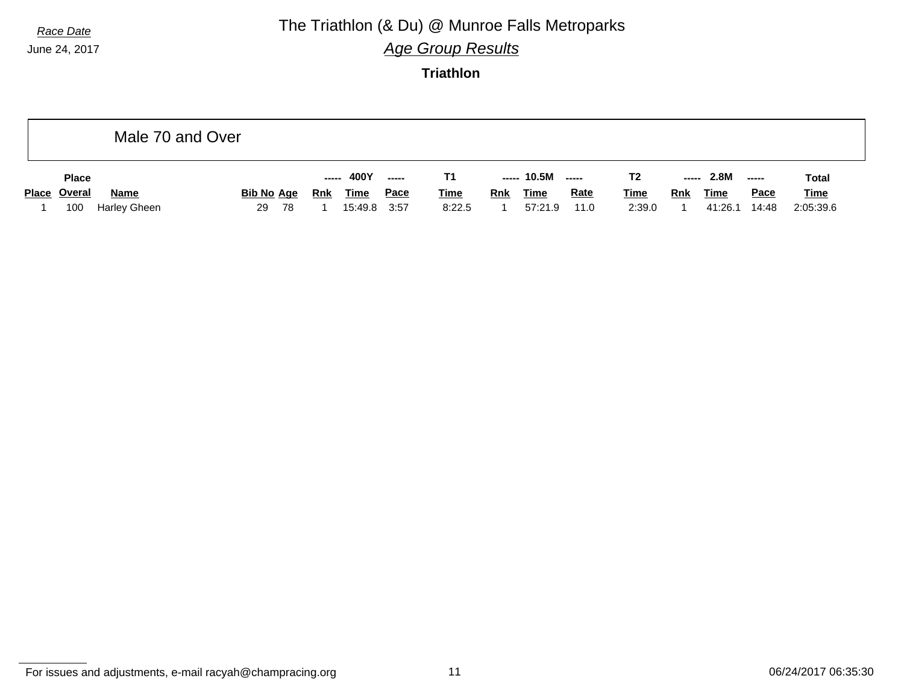## *Race Date* **The Triathlon (& Du) @ Munroe Falls Metroparks**

*Age Group Results*

**Triathlon**

|              |              | Male 70 and Over  |    |     |            |             |      |             |            |                   |             |                |            |             |             |             |
|--------------|--------------|-------------------|----|-----|------------|-------------|------|-------------|------------|-------------------|-------------|----------------|------------|-------------|-------------|-------------|
| <b>Place</b> |              |                   |    |     |            | ----- 400Y  |      | Τ1          |            | ----- 10.5M ----- |             | T <sub>2</sub> |            | $--- 2.8M$  | ------      | Total       |
| Place Overal | <b>Name</b>  | <u>Bib No_Age</u> |    |     | <b>Rnk</b> | <b>Time</b> | Pace | <b>Time</b> | <b>Rnk</b> | <b>Time</b>       | <b>Rate</b> | <u>Time</u>    | <u>Rnk</u> | <b>Time</b> | <b>Pace</b> | <b>Time</b> |
| 100          | Harley Gheen |                   | 29 | -78 |            | 15:49.8     | 3:57 | 8:22.5      |            | 57:21.9           | 11.0        | 2:39.0         |            | 41:26.1     | 14:48       | 2:05:39.6   |

For issues and adjustments, e-mail racyah@champracing.org 11 1 and 11 06/24/2017 06:35:30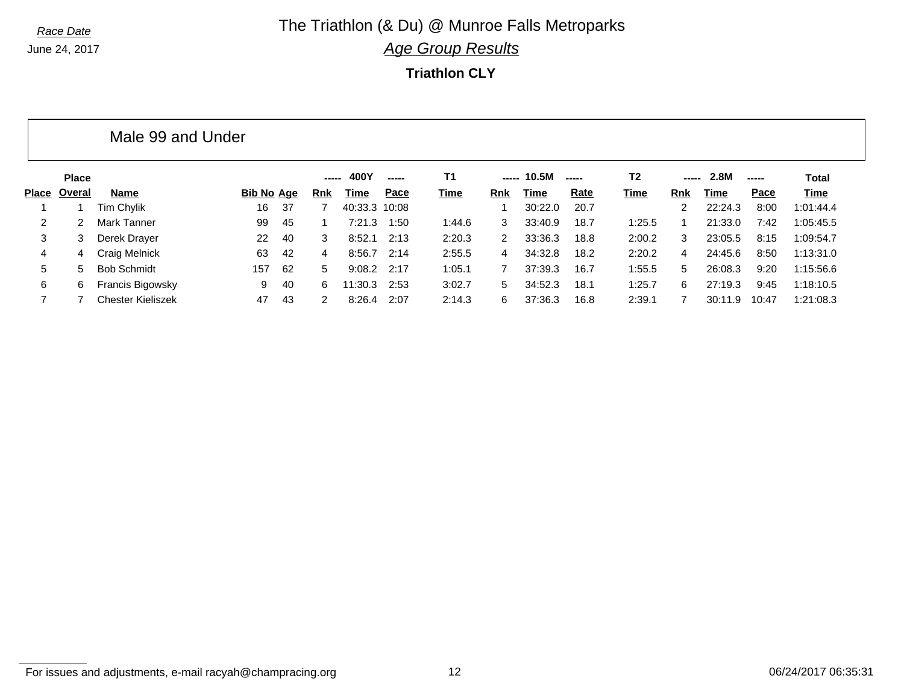### *Race Date* **The Triathlon (& Du) @ Munroe Falls Metroparks** *Age Group Results*

**Triathlon CLY**

|       | Male 99 and Under |                          |                   |     |            |               |      |           |               |         |       |        |     |         |       |             |
|-------|-------------------|--------------------------|-------------------|-----|------------|---------------|------|-----------|---------------|---------|-------|--------|-----|---------|-------|-------------|
|       | <b>Place</b>      |                          |                   |     | -----      | 400Y          |      | <b>T1</b> | -----         | 10.5M   | ----- | T2     |     | 2.8M    | ----- | Total       |
| Place | Overal            | Name                     | <b>Bib No Age</b> |     | <b>Rnk</b> | Time          | Pace | Time      | <b>Rnk</b>    | Time    | Rate  | Time   | Rnk | Time    | Pace  | <u>Time</u> |
|       |                   | Tim Chylik               | 16                | -37 |            | 40:33.3 10:08 |      |           |               | 30:22.0 | 20.7  |        |     | 22:24.3 | 8:00  | 1:01:44.4   |
| 2     | 2                 | Mark Tanner              | 99                | 45  |            | 7:21.3        | 1:50 | 1:44.6    | 3             | 33:40.9 | 18.7  | 1:25.5 |     | 21:33.0 | 7:42  | 1:05:45.5   |
| 3     | 3                 | Derek Drayer             | 22                | 40  | 3          | 8:52.1        | 2:13 | 2:20.3    | $\mathcal{P}$ | 33:36.3 | 18.8  | 2:00.2 | 3   | 23:05.5 | 8:15  | 1:09:54.7   |
| 4     | 4                 | Craig Melnick            | 63                | 42  | 4          | 8:56.7        | 2:14 | 2:55.5    | 4             | 34:32.8 | 18.2  | 2:20.2 | 4   | 24:45.6 | 8:50  | 1:13:31.0   |
| 5     | 5.                | <b>Bob Schmidt</b>       | 157               | -62 | 5          | 9:08.2        | 2:17 | 1:05.1    |               | 37:39.3 | 16.7  | 1:55.5 | 5   | 26:08.3 | 9:20  | 1:15:56.6   |
| 6     | 6                 | Francis Bigowsky         | 9                 | 40  | 6          | 11:30.3       | 2:53 | 3:02.7    | 5.            | 34:52.3 | 18.1  | 1:25.7 | 6   | 27:19.3 | 9:45  | 1:18:10.5   |
|       |                   | <b>Chester Kieliszek</b> | 47                | 43  | 2          | 8:26.4        | 2:07 | 2:14.3    | 6             | 37:36.3 | 16.8  | 2:39.1 |     | 30:11.9 | 10:47 | 1:21:08.3   |

For issues and adjustments, e-mail racyah@champracing.org 12 06/24/2017 06:35:31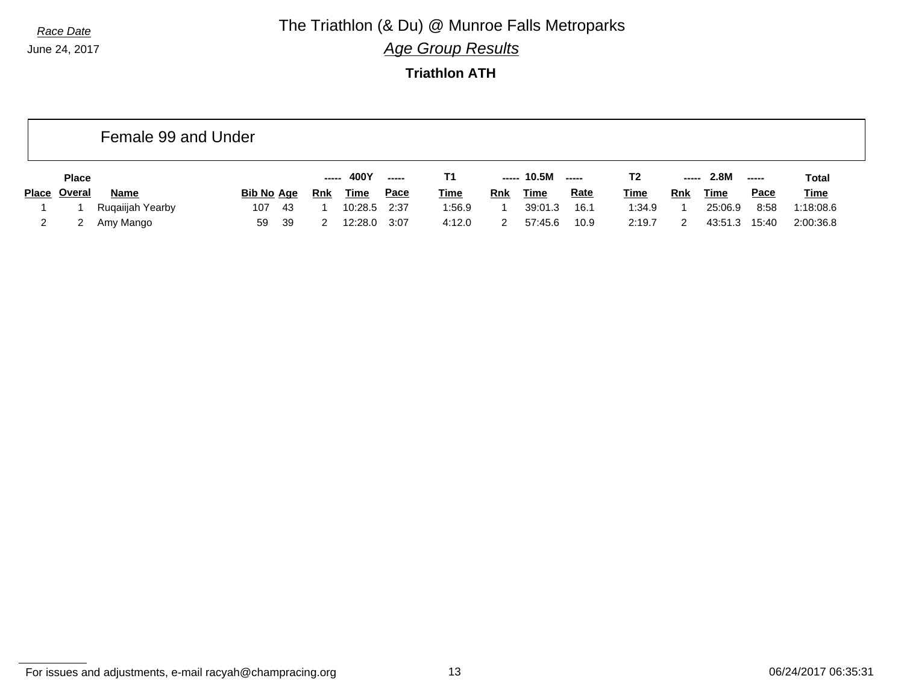*Race Date* **The Triathlon (& Du) @ Munroe Falls Metroparks** *Age Group Results*

**Triathlon ATH**

|              | Female 99 and Under |                  |                   |            |             |             |             |     |             |                          |             |       |         |             |             |
|--------------|---------------------|------------------|-------------------|------------|-------------|-------------|-------------|-----|-------------|--------------------------|-------------|-------|---------|-------------|-------------|
|              | <b>Place</b>        |                  |                   |            | 400Y        | ------      | Т1          |     | ----- 10.5M | $\overline{\phantom{a}}$ | T2          | ----- | 2.8M    | ------      | Total       |
| <b>Place</b> | Overal              | <b>Name</b>      | <b>Bib No Age</b> | <b>Rnk</b> | <u>Time</u> | <u>Pace</u> | <b>Time</b> | Rnk | <u>Time</u> | <b>Rate</b>              | <b>Time</b> | Rnk   | Time    | <b>Pace</b> | <b>Time</b> |
|              |                     | Ruqaiijah Yearby | 107<br>-43        |            | 10:28.5     | 2:37        | 1:56.9      |     | 39:01.3     | 16.1                     | 1:34.9      |       | 25:06.9 | 8:58        | 1:18:08.6   |
|              |                     | Amy Mango        | 39<br>59          |            | 12:28.0     | 3:07        | 4:12.0      |     | 57:45.6     | 10.9                     | 2:19.7      |       | 43:51.3 | 15:40       | 2:00:36.8   |

For issues and adjustments, e-mail racyah@champracing.org 13 06/24/2017 06:35:31